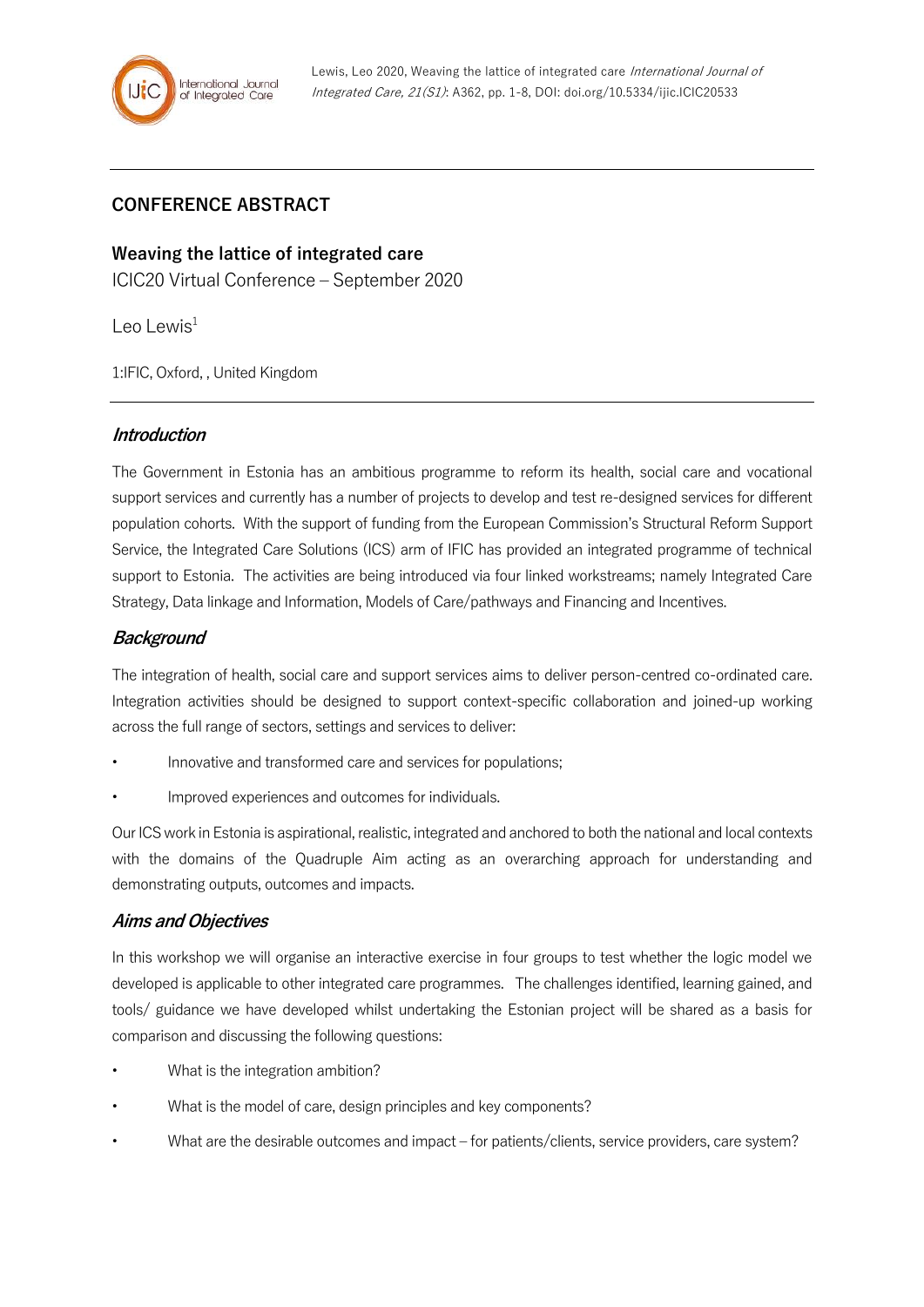# **CONFERENCE ABSTRACT**

**Weaving the lattice of integrated care**

ICIC20 Virtual Conference – September 2020

Leo Lewis $1$ 

1:IFIC, Oxford, , United Kingdom

#### **Introduction**

The Government in Estonia has an ambitious programme to reform its health, social care and vocational support services and currently has a number of projects to develop and test re-designed services for different population cohorts. With the support of funding from the European Commission's Structural Reform Support Service, the Integrated Care Solutions (ICS) arm of IFIC has provided an integrated programme of technical support to Estonia. The activities are being introduced via four linked workstreams; namely Integrated Care Strategy, Data linkage and Information, Models of Care/pathways and Financing and Incentives.

## **Background**

The integration of health, social care and support services aims to deliver person-centred co-ordinated care. Integration activities should be designed to support context-specific collaboration and joined-up working across the full range of sectors, settings and services to deliver:

- Innovative and transformed care and services for populations;
- Improved experiences and outcomes for individuals.

Our ICS work in Estonia is aspirational, realistic, integrated and anchored to both the national and local contexts with the domains of the Quadruple Aim acting as an overarching approach for understanding and demonstrating outputs, outcomes and impacts.

#### **Aims and Objectives**

In this workshop we will organise an interactive exercise in four groups to test whether the logic model we developed is applicable to other integrated care programmes. The challenges identified, learning gained, and tools/ guidance we have developed whilst undertaking the Estonian project will be shared as a basis for comparison and discussing the following questions:

- What is the integration ambition?
- What is the model of care, design principles and key components?
- What are the desirable outcomes and impact for patients/clients, service providers, care system?